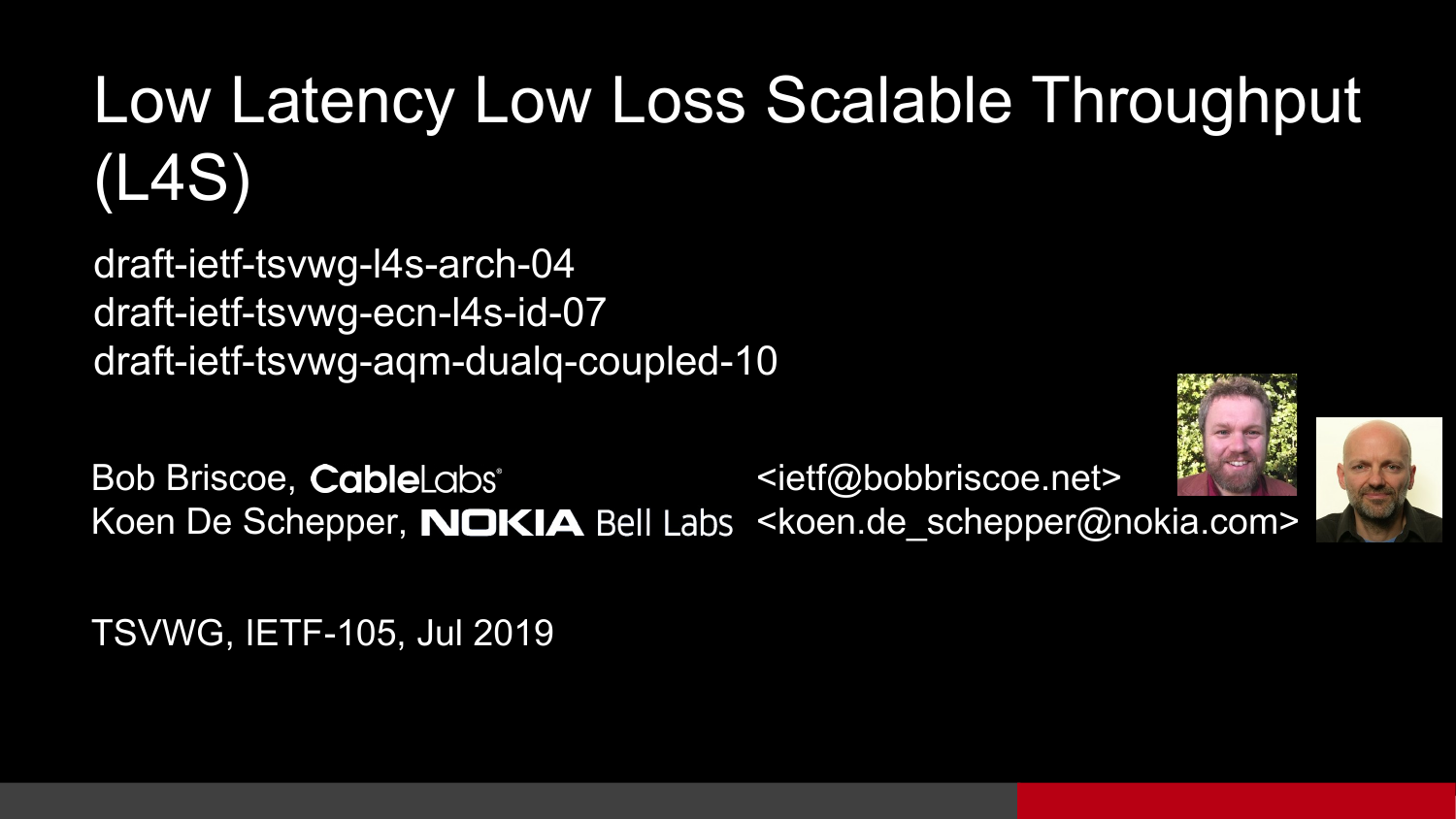### Low Latency Low Loss Scalable Throughput (L4S)

draft-ietf-tsvwg-l4s-arch-04 draft-ietf-tsvwg-ecn-l4s-id-07 draft-ietf-tsvwg-aqm-dualq-coupled-10

Bob Briscoe, CableLabs<sup>\*</sup> <ietf@bobbriscoe.net> Koen De Schepper, **NOKIA** Bell Labs <koen.de schepper@nokia.com>





TSVWG, IETF-105, Jul 2019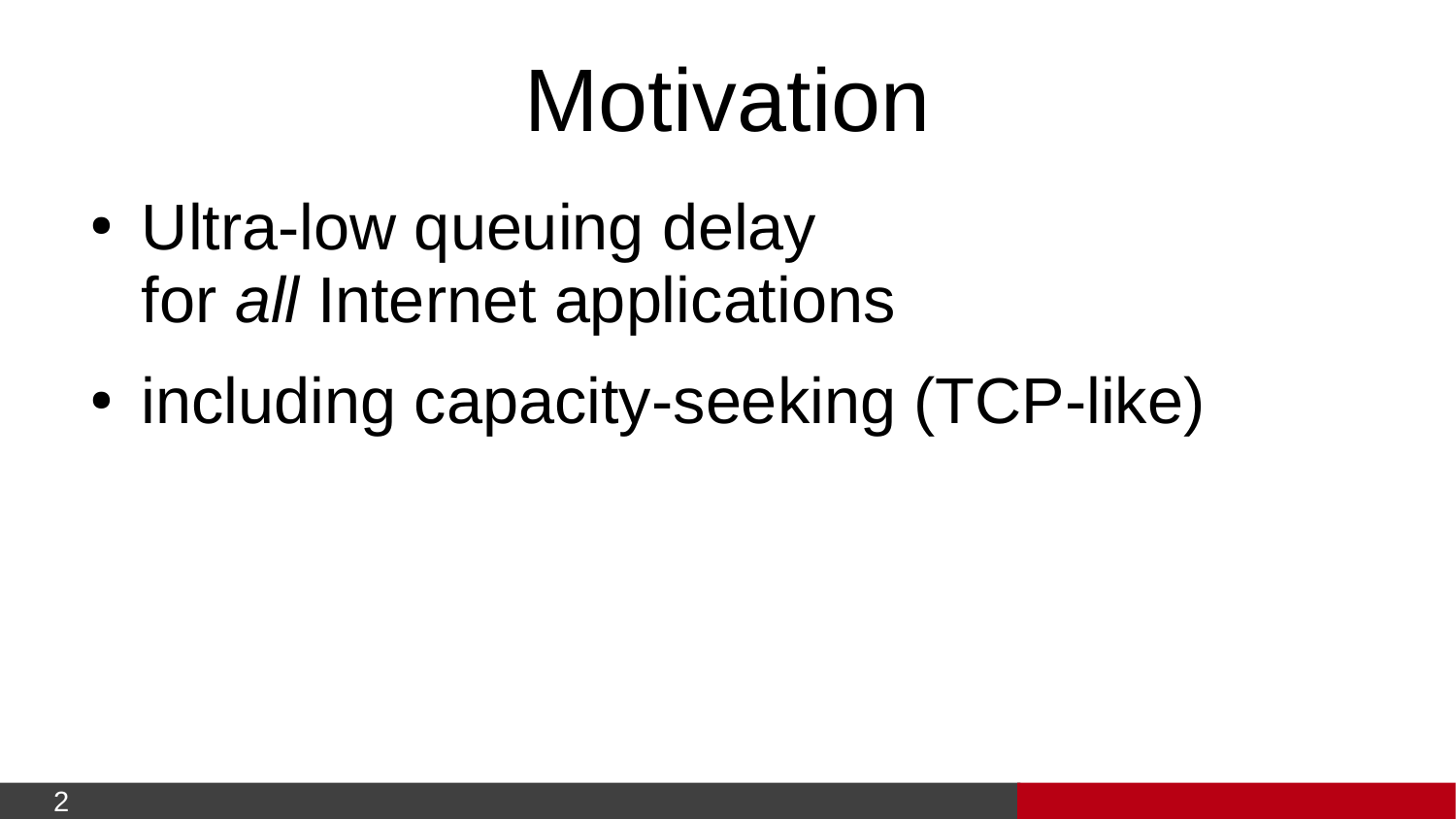# Motivation

- Ultra-low queuing delay for *all* Internet applications
- including capacity-seeking (TCP-like)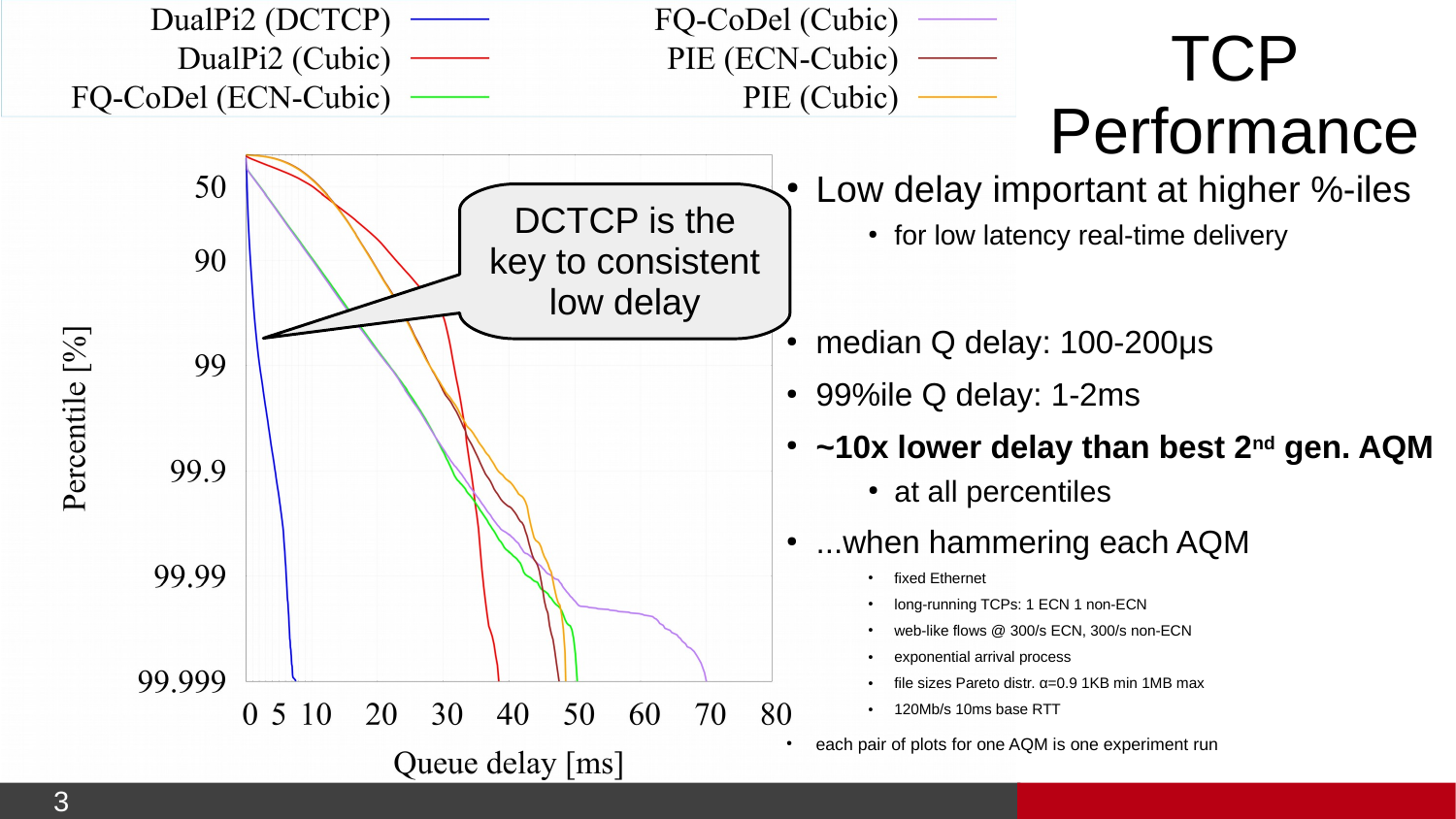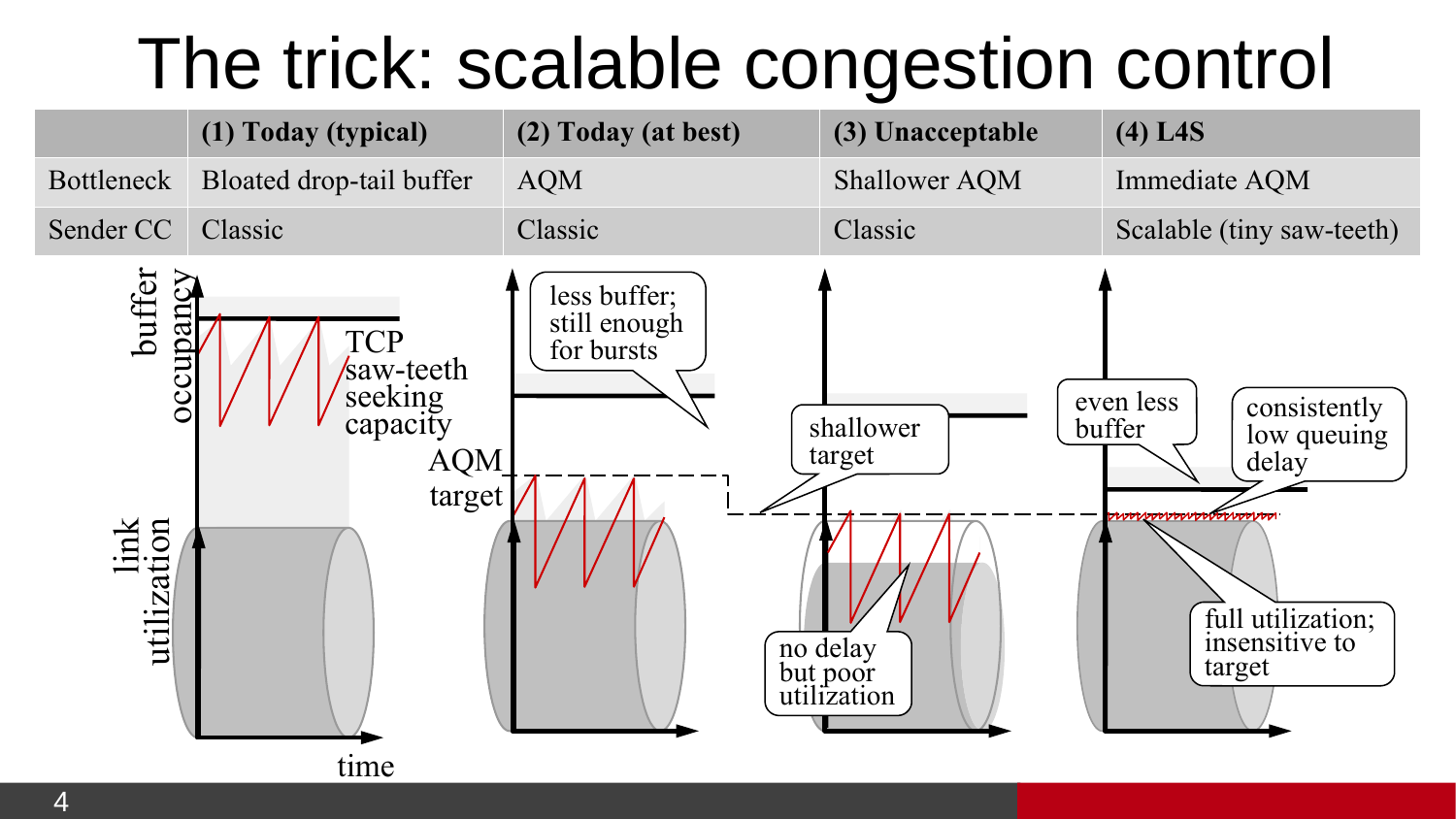### The trick: scalable congestion control

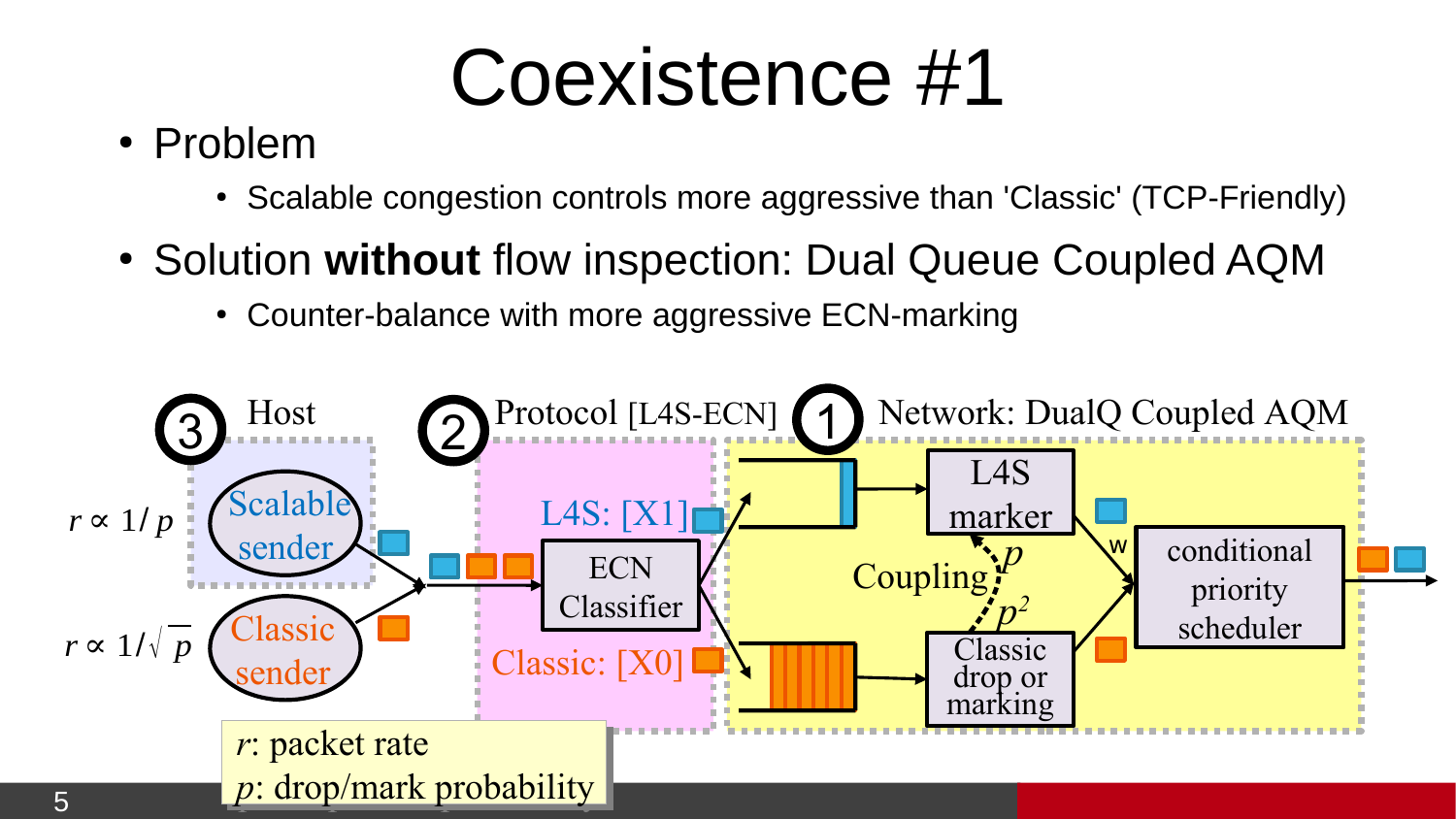## Coexistence #1

- Problem
	- Scalable congestion controls more aggressive than 'Classic' (TCP-Friendly)
- Solution without flow inspection: Dual Queue Coupled AQM
	- Counter-balance with more aggressive ECN-marking

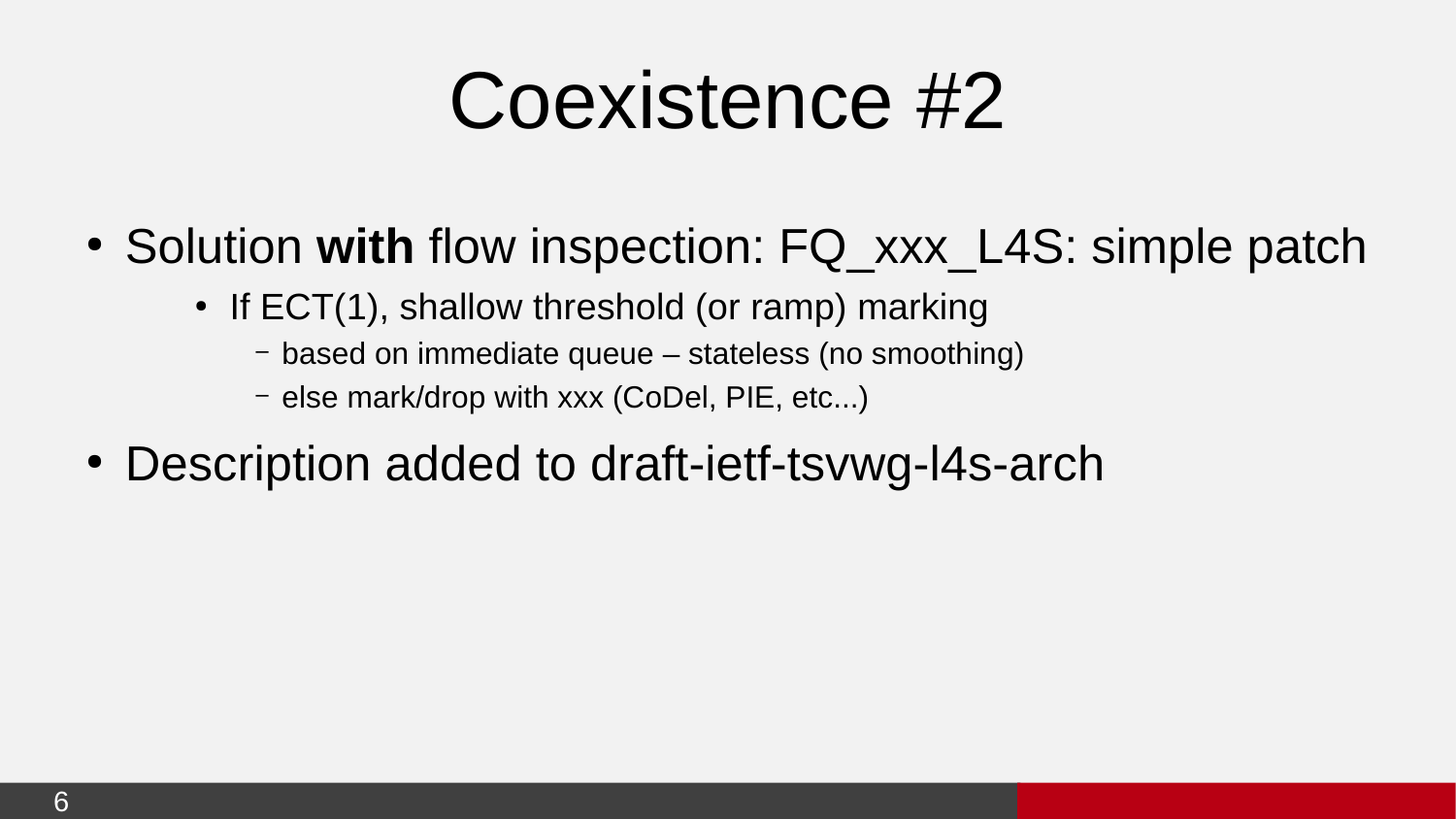## Coexistence #2

- Solution with flow inspection: FQ xxx\_L4S: simple patch
	- $\cdot$  If ECT(1), shallow threshold (or ramp) marking
		- based on immediate queue stateless (no smoothing)
		- else mark/drop with xxx (CoDel, PIE, etc...)
- Description added to draft-ietf-tsvwg-l4s-arch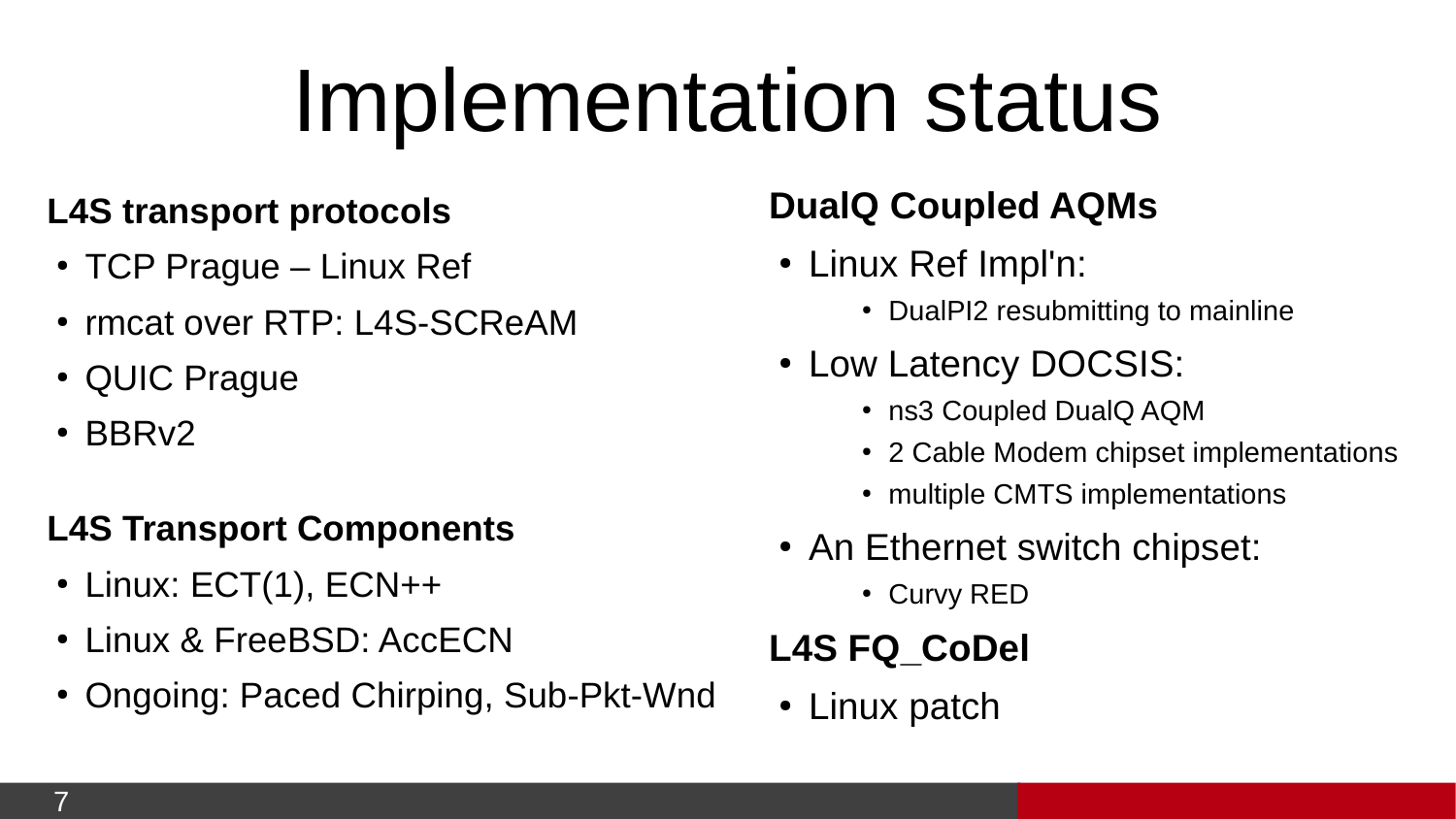# Implementation status

#### **L4S transport protocols**

- $\cdot$  TCP Prague Linux Ref
- rmcat over RTP: L4S-SCReAM
- QUIC Prague
- $\cdot$  BBR $v2$

#### **L4S Transport Components**

- $\cdot$  Linux: ECT(1), ECN++
- Linux & FreeBSD: AccECN
- Ongoing: Paced Chirping, Sub-Pkt-Wnd

#### **DualQ Coupled AQMs**

- Linux Ref Impl'n:
	- DualPI2 resubmitting to mainline
- Low Latency DOCSIS:
	- ns3 Coupled DualO AOM
	- 2 Cable Modem chipset implementations
	- multiple CMTS implementations
- An Ethernet switch chipset:
	- Curvy RED

#### **L4S FQ\_CoDel**

• Linux patch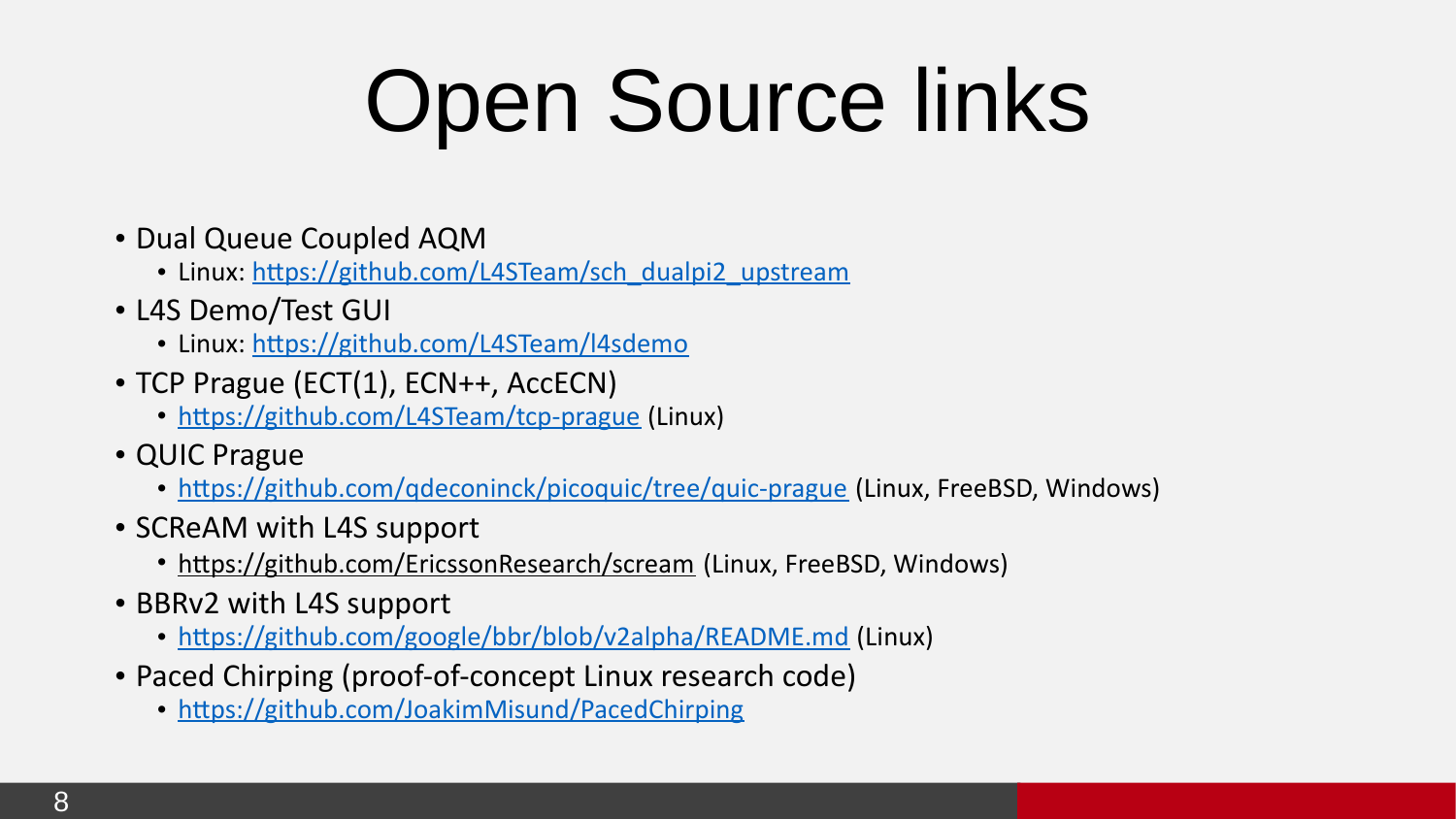# Open Source links

- Dual Queue Coupled AQM
	- Linux: [https://github.com/L4STeam/sch\\_dualpi2\\_upstream](https://github.com/L4STeam/sch_dualpi2_upstream)
- L4S Demo/Test GUI
	- Linux:<https://github.com/L4STeam/l4sdemo>
- TCP Prague (ECT(1), ECN++, AccECN)
	- <https://github.com/L4STeam/tcp-prague>(Linux)
- QUIC Prague
	- https://github.com/gdeconinck/picoquic/tree/quic-prague (Linux, FreeBSD, Windows)
- SCReAM with L4S support
	- <https://github.com/EricssonResearch/scream> (Linux, FreeBSD, Windows)
- BBRv2 with L4S support
	- <https://github.com/google/bbr/blob/v2alpha/README.md>(Linux)
- Paced Chirping (proof-of-concept Linux research code)
	- <https://github.com/JoakimMisund/PacedChirping>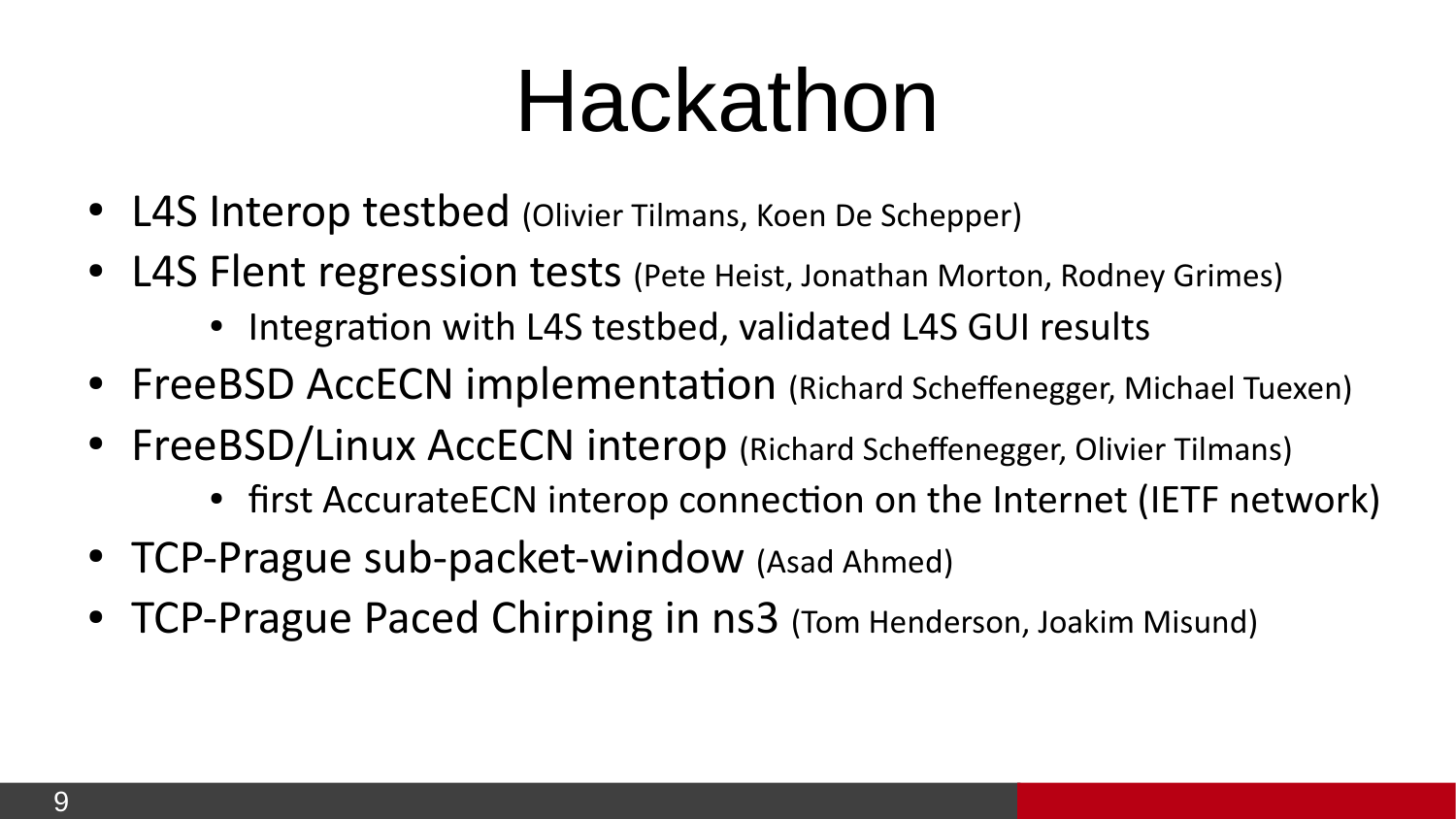# Hackathon

- L4S Interop testbed (Olivier Tilmans, Koen De Schepper)
- L4S Flent regression tests (Pete Heist, Jonathan Morton, Rodney Grimes)
	- Integration with L4S testbed, validated L4S GUI results
- FreeBSD AccECN implementation (Richard Scheffenegger, Michael Tuexen)
- FreeBSD/Linux AccECN interop (Richard Scheffenegger, Olivier Tilmans)
	- first AccurateECN interop connection on the Internet (IETF network)
- TCP-Prague sub-packet-window (Asad Ahmed)
- TCP-Prague Paced Chirping in ns3 (Tom Henderson, Joakim Misund)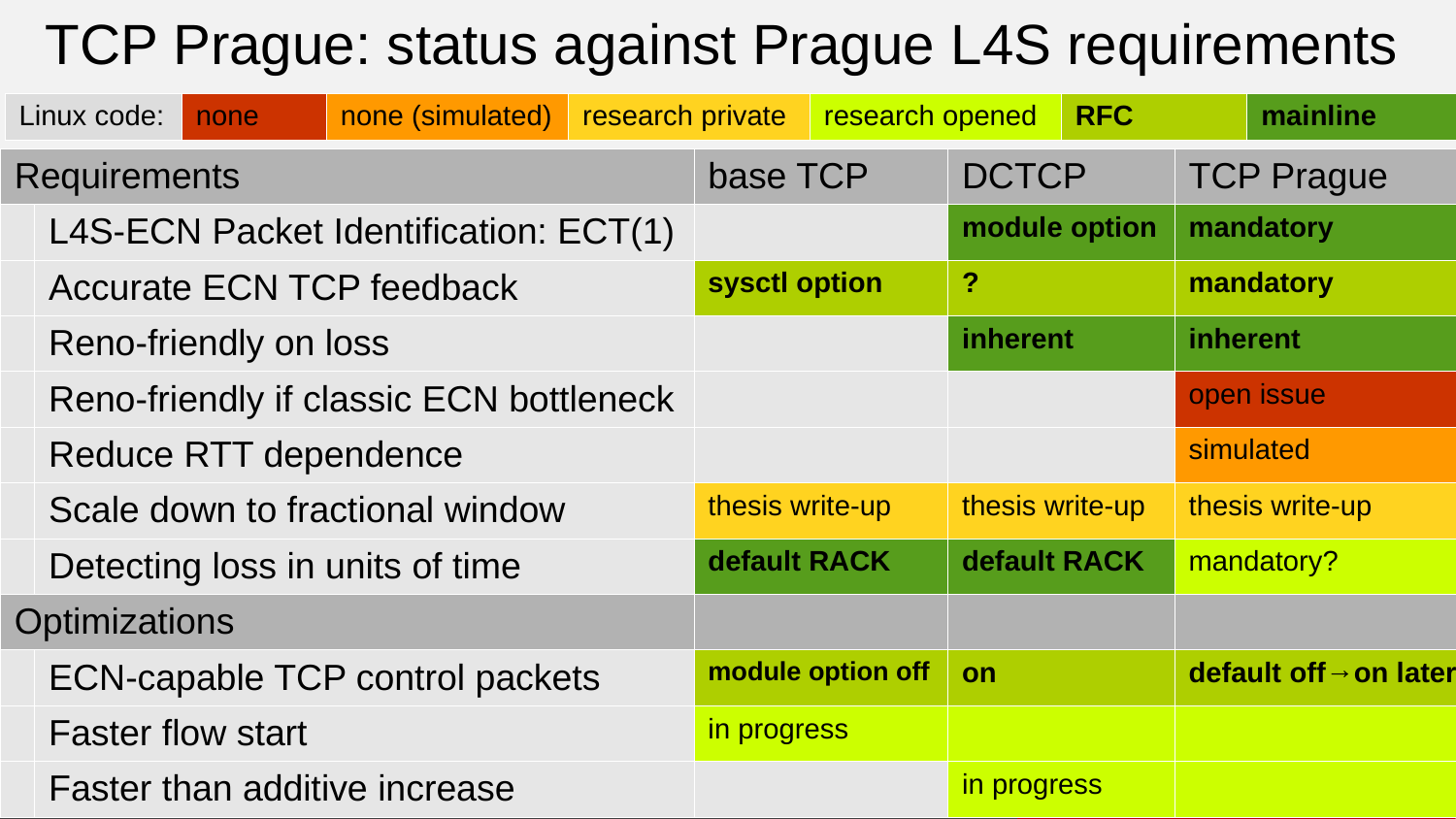### TCP Prague: status against Prague L4S requirements

| Linux code:                             | none | none (simulated) | research private |                   | research opened |                  | <b>RFC</b>                         |                   | mainline   |
|-----------------------------------------|------|------------------|------------------|-------------------|-----------------|------------------|------------------------------------|-------------------|------------|
| <b>Requirements</b>                     |      |                  |                  | base TCP          |                 | <b>DCTCP</b>     |                                    | <b>TCP Prague</b> |            |
| L4S-ECN Packet Identification: ECT(1)   |      |                  |                  |                   |                 | module option    |                                    | mandatory         |            |
| <b>Accurate ECN TCP feedback</b>        |      |                  |                  | sysctl option     |                 | $\boldsymbol{P}$ |                                    | mandatory         |            |
| Reno-friendly on loss                   |      |                  |                  |                   |                 | inherent         |                                    | inherent          |            |
| Reno-friendly if classic ECN bottleneck |      |                  |                  |                   |                 |                  |                                    |                   | open issue |
| Reduce RTT dependence                   |      |                  |                  |                   |                 |                  |                                    |                   | simulated  |
| Scale down to fractional window         |      |                  |                  | thesis write-up   |                 | thesis write-up  |                                    | thesis write-up   |            |
| Detecting loss in units of time         |      |                  |                  | default RACK      |                 | default RACK     |                                    |                   | mandatory? |
| <b>Optimizations</b>                    |      |                  |                  |                   |                 |                  |                                    |                   |            |
| ECN-capable TCP control packets         |      |                  |                  | module option off | on              |                  | default off $\rightarrow$ on later |                   |            |
| <b>Faster flow start</b>                |      |                  | in progress      |                   |                 |                  |                                    |                   |            |
| <b>Faster than additive increase</b>    |      |                  |                  |                   |                 | in progress      |                                    |                   |            |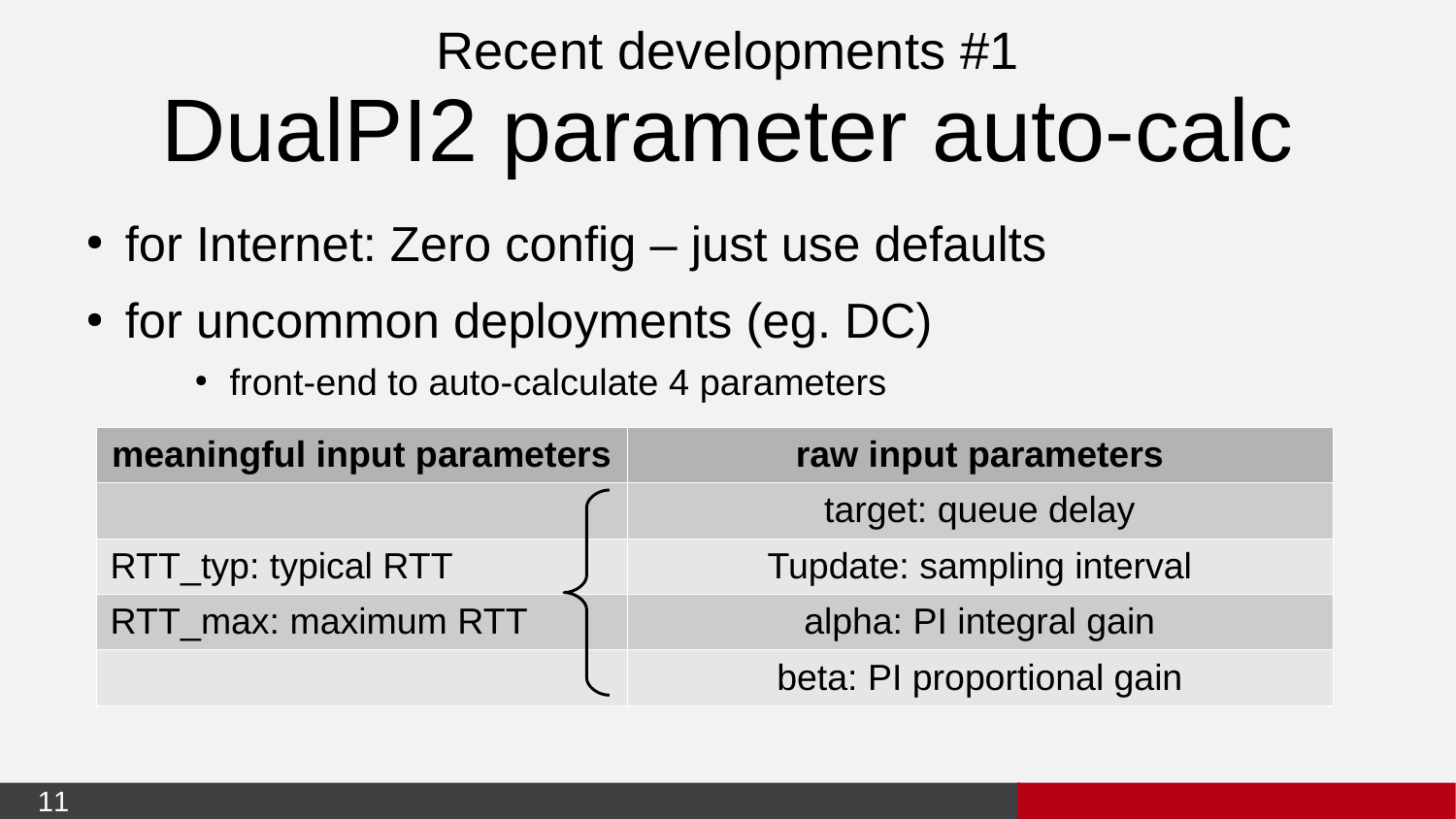## Recent developments #1 DualPI2 parameter auto-calc

- $\bullet$  for Internet: Zero config just use defaults
- for uncommon deployments (eg. DC)
	- front-end to auto-calculate 4 parameters

| meaningful input parameters | raw input parameters       |
|-----------------------------|----------------------------|
|                             | target: queue delay        |
| RTT_typ: typical RTT        | Tupdate: sampling interval |
| RTT_max: maximum RTT        | alpha: PI integral gain    |
|                             | beta: PI proportional gain |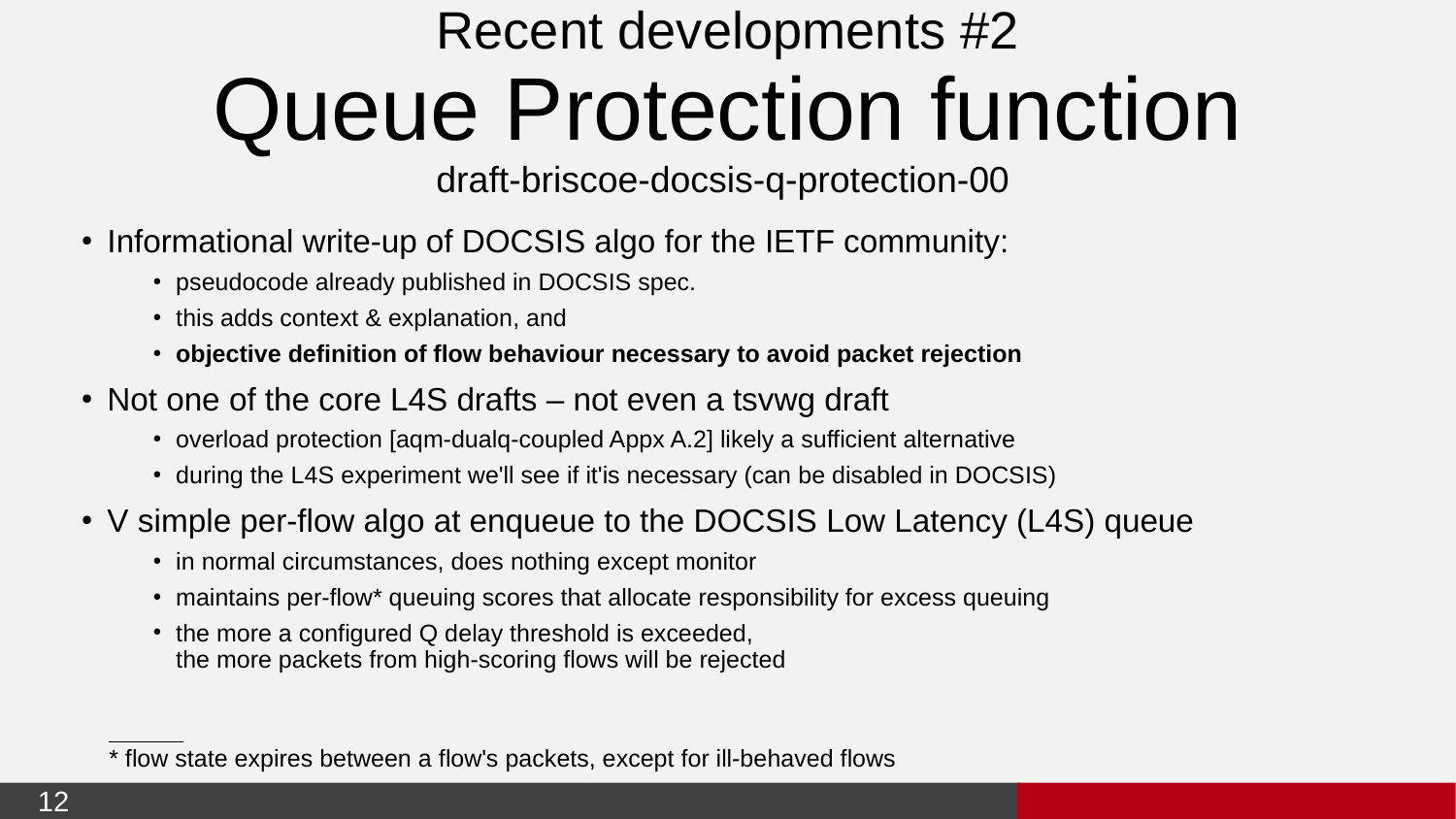## Recent developments #2 Queue Protection function

#### draft-briscoe-docsis-q-protection-00

- Informational write-up of DOCSIS algo for the IETF community:
	- pseudocode already published in DOCSIS spec.
	- this adds context & explanation, and
	- objective definition of flow behaviour necessary to avoid packet rejection
- $\bullet$  Not one of the core L4S drafts not even a tsywg draft
	- overload protection [aqm-dualq-coupled Appx A.2] likely a sufficient alternative
	- during the L4S experiment we'll see if it'is necessary (can be disabled in DOCSIS)
- V simple per-flow algo at enqueue to the DOCSIS Low Latency (L4S) queue
	- in normal circumstances, does nothing except monitor
	- maintains per-flow\* queuing scores that allocate responsibility for excess queuing
	- the more a configured Q delay threshold is exceeded, the more packets from high-scoring flows will be rejected

 $\overline{a}$ 

<sup>\*</sup> flow state expires between a flow's packets, except for ill-behaved flows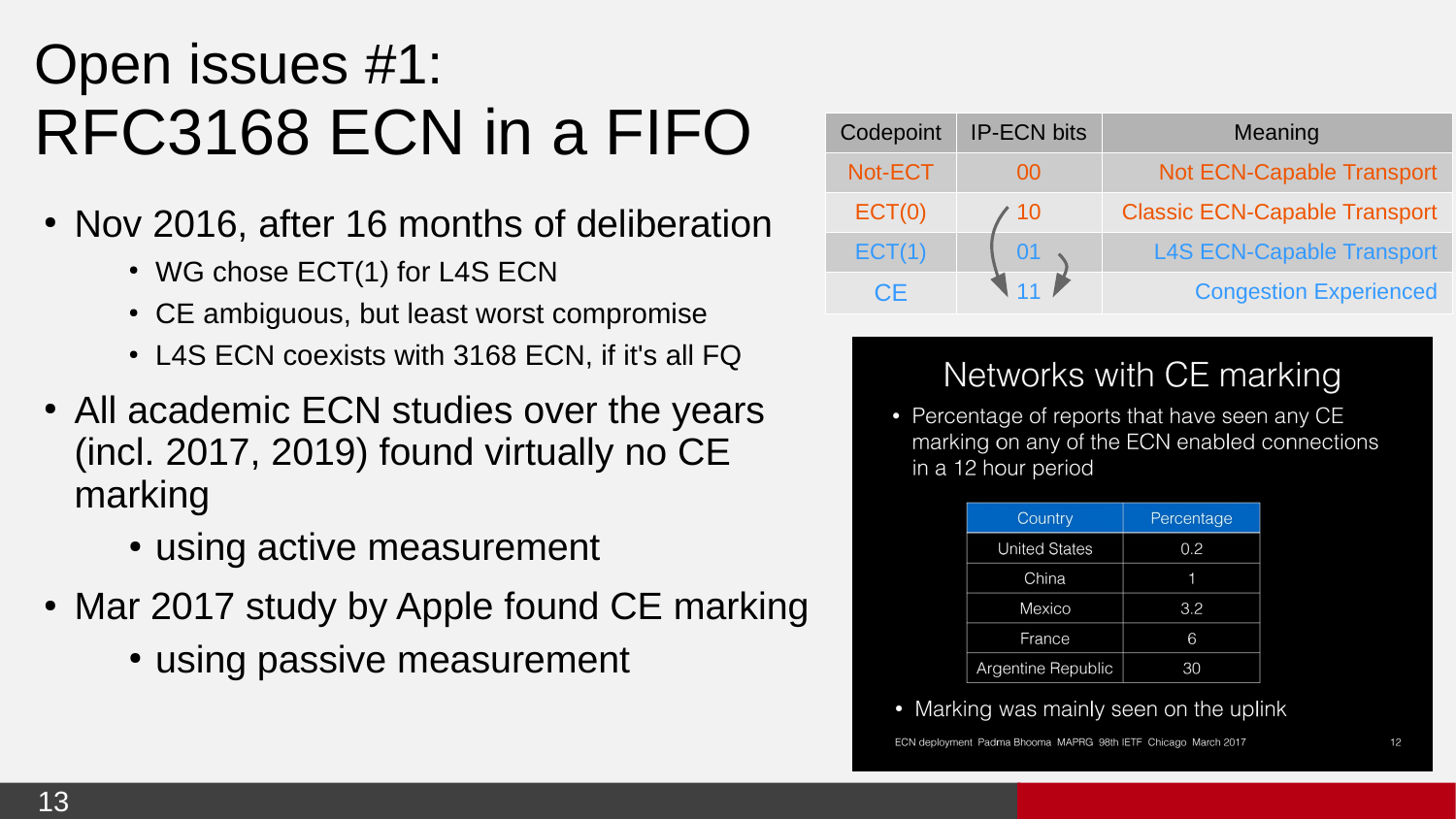### Open issues #1: RFC3168 ECN in a FIFO

- Nov 2016, after 16 months of deliberation
	- $\cdot$  WG chose ECT(1) for L4S ECN
	- CE ambiguous, but least worst compromise
	- L4S ECN coexists with 3168 ECN, if it's all FQ
- All academic ECN studies over the years (incl. 2017, 2019) found virtually no CE marking
	- using active measurement
- Mar 2017 study by Apple found CE marking
	- using passive measurement

| Codepoint | <b>IP-ECN bits</b> | Meaning                              |
|-----------|--------------------|--------------------------------------|
| Not-ECT   | იი                 | Not ECN-Capable Transport            |
| ECT(0)    | 10                 | <b>Classic ECN-Capable Transport</b> |
| ECT(1)    | 01                 | <b>L4S ECN-Capable Transport</b>     |
| CF        |                    | <b>Congestion Experienced</b>        |

#### Networks with CE marking

• Percentage of reports that have seen any CE marking on any of the ECN enabled connections in a 12 hour period

| Country              | Percentage |
|----------------------|------------|
| <b>United States</b> | 0.2        |
| China                |            |
| Mexico               | 3.2        |
| France               | 6          |
| Argentine Republic   | 30         |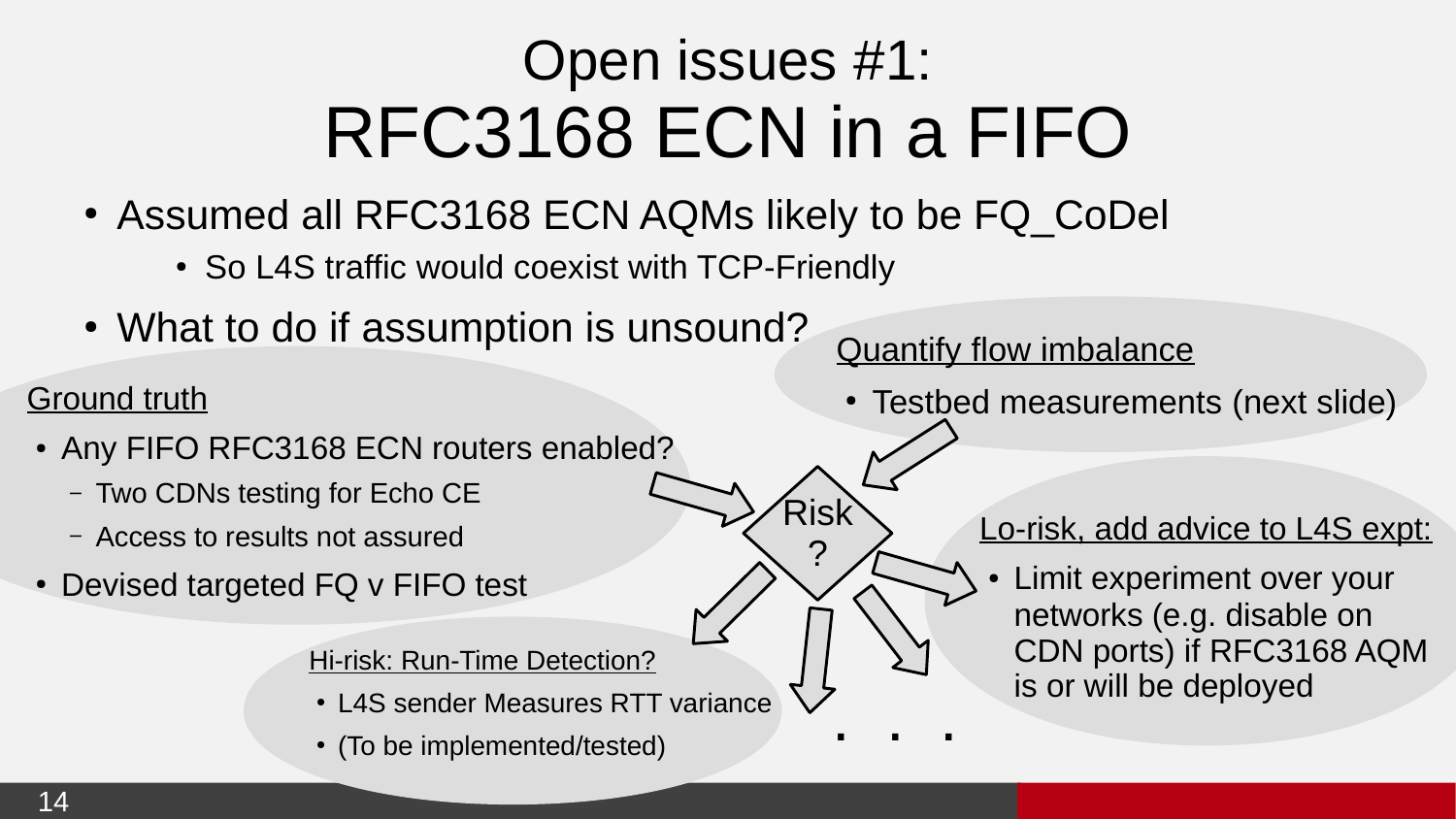### Open issues #1: RFC3168 ECN in a FIFO

Risk

?

.<br>. . .

- Assumed all RFC3168 ECN AQMs likely to be FQ CoDel
	- So L4S traffic would coexist with TCP-Friendly
- What to do if assumption is unsound?

#### Ground truth

- Any FIFO RFC3168 ECN routers enabled?
	- Two CDNs testing for Echo CE
	- Access to results not assured
- Devised targeted FQ v FIFO test

Hi-risk: Run-Time Detection?

- L4S sender Measures RTT variance
- (To be implemented/tested)

Quantify flow imbalance

• Testbed measurements (next slide)

#### Lo-risk, add advice to L4S expt:

Limit experiment over your networks (e.g. disable on CDN ports) if RFC3168 AQM is or will be deployed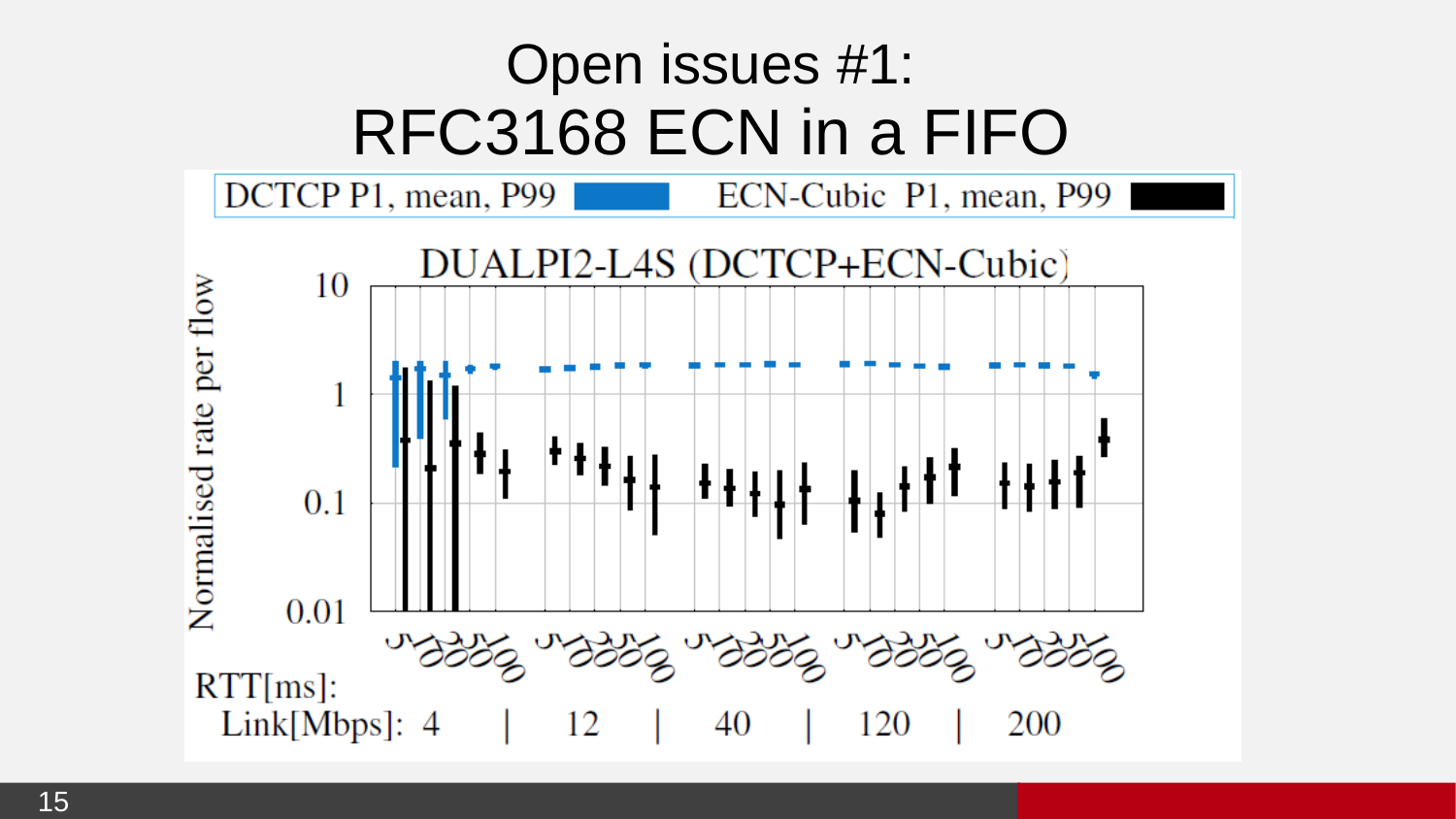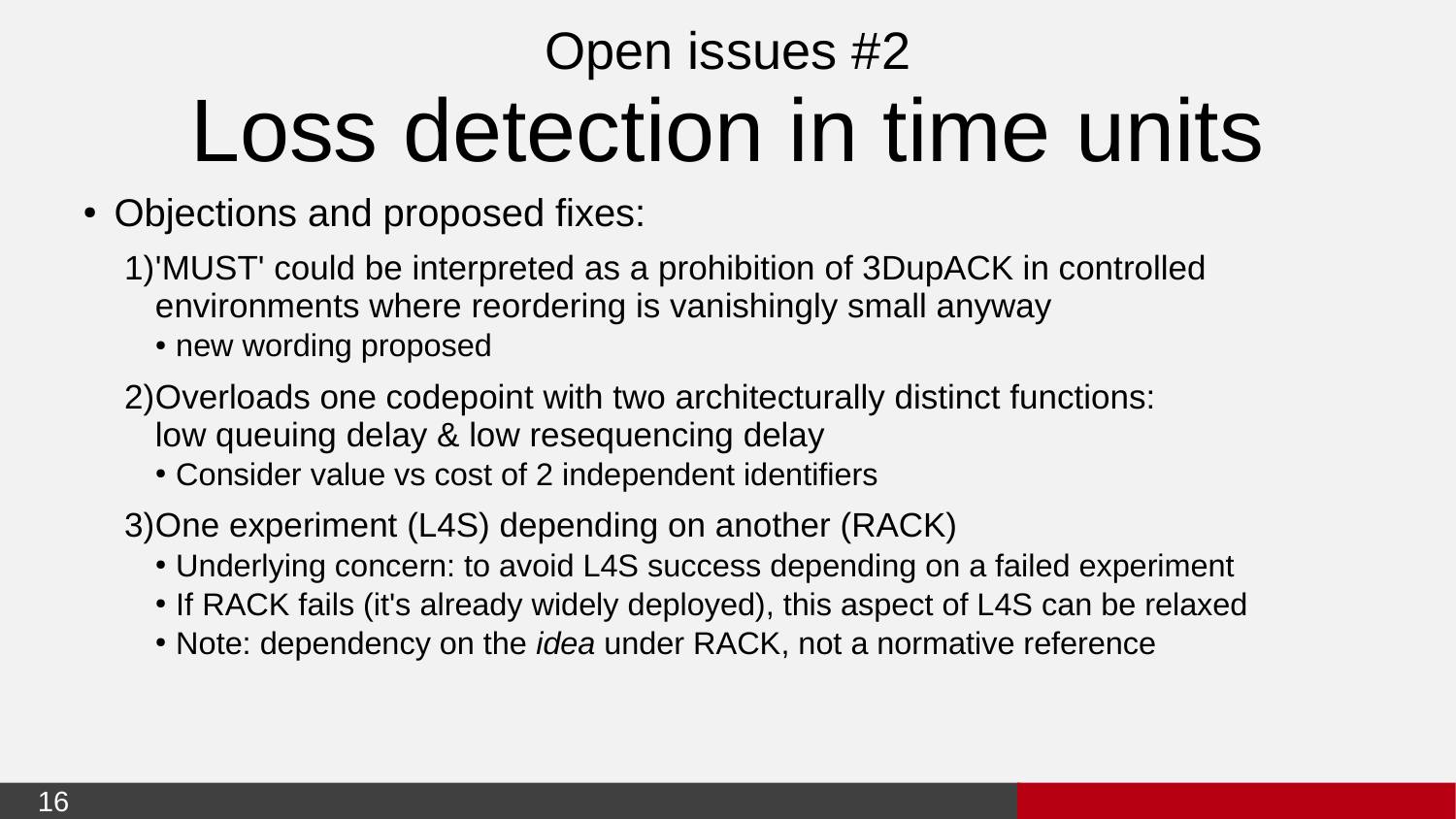### Open issues #2 Loss detection in time units

- Objections and proposed fixes:
	- 1) 'MUST' could be interpreted as a prohibition of 3DupACK in controlled environments where reordering is vanishingly small anyway
		- new wording proposed
	- 2) Overloads one codepoint with two architecturally distinct functions: low queuing delay & low resequencing delay
		- Consider value vs cost of 2 independent identifiers
	- 3) One experiment (L4S) depending on another (RACK)
		- Underlying concern: to avoid L4S success depending on a failed experiment
		- If RACK fails (it's already widely deployed), this aspect of L4S can be relaxed
		- Note: dependency on the *idea* under RACK, not a normative reference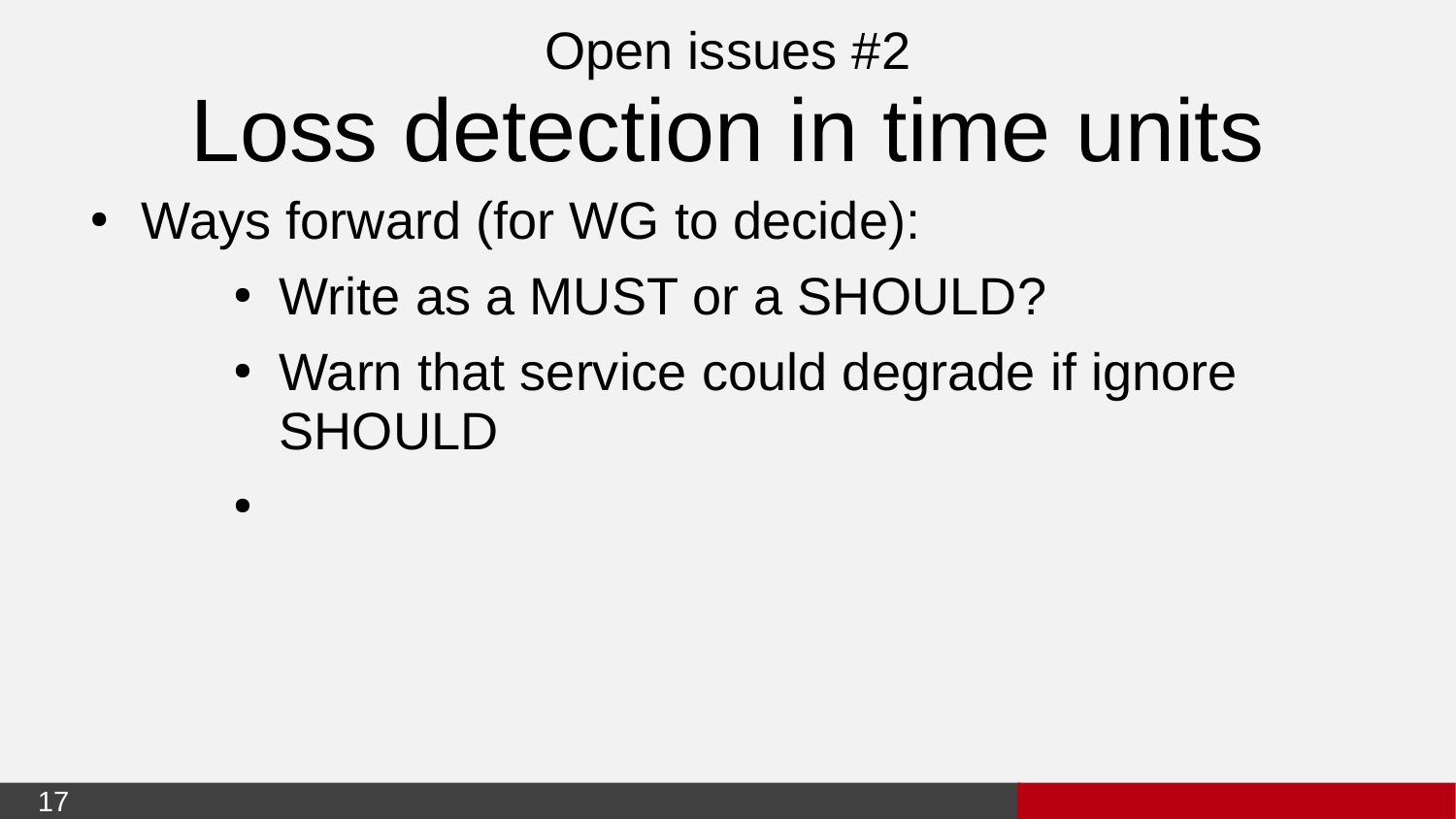### Open issues #2 Loss detection in time units

- Ways forward (for WG to decide):
	- Write as a MUST or a SHOULD?
	- Warn that service could degrade if ignore **SHOULD**

 $\bullet$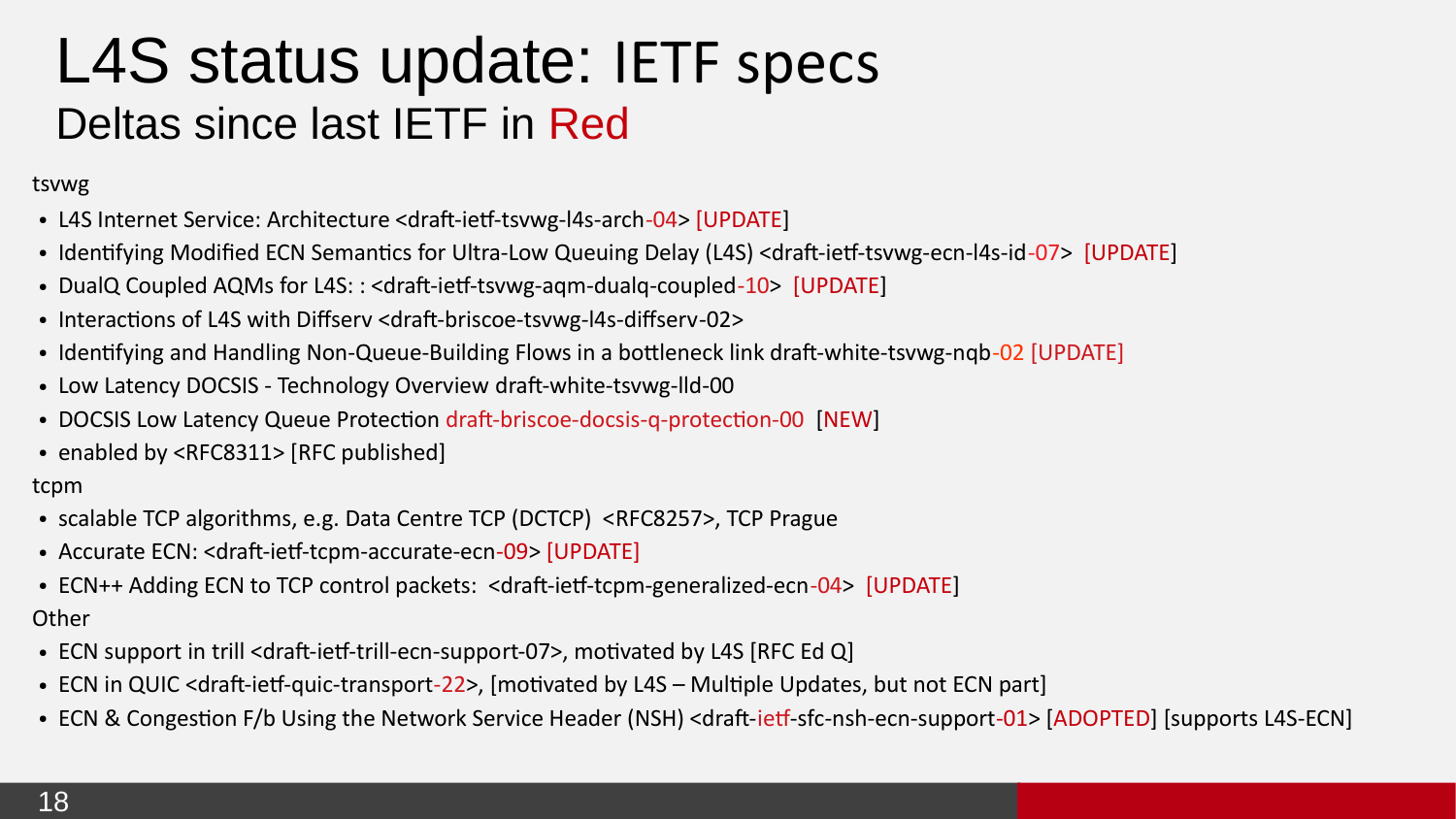### L4S status update: IETF specs Deltas since last IETF in Red

tsvwg

- L4S Internet Service: Architecture <draft-ietf-tsvwg-l4s-arch-04> [UPDATE]
- Identifying Modified ECN Semantics for Ultra-Low Queuing Delay (L4S) <draft-ietf-tsvwg-ecn-l4s-id-07> [UPDATE]
- DualQ Coupled AQMs for L4S:: <draft-ietf-tsvwg-agm-dualg-coupled-10> [UPDATE]
- Interactions of L4S with Diffserv <draft-briscoe-tsvwg-l4s-diffserv-02>
- Identifying and Handling Non-Queue-Building Flows in a bottleneck link draft-white-tsvwg-ngb-02 [UPDATE]
- Low Latency DOCSIS Technology Overview draft-white-tsvwg-lld-00
- DOCSIS Low Latency Queue Protection draft-briscoe-docsis-q-protection-00 [NEW]
- enabled by <RFC8311> [RFC published]

tcpm

- scalable TCP algorithms, e.g. Data Centre TCP (DCTCP) <RFC8257>, TCP Prague
- Accurate ECN: <draft-ietf-tcpm-accurate-ecn-09> [UPDATE]
- ECN++ Adding ECN to TCP control packets: <draft-ietf-tcpm-generalized-ecn-04> [UPDATE]

#### **Other**

- ECN support in trill <draft-ietf-trill-ecn-support-07>, motivated by L4S [RFC Ed Q]
- ECN in QUIC <draft-ietf-quic-transport-22>, [motivated by L4S Multiple Updates, but not ECN part]
- ECN & Congestion F/b Using the Network Service Header (NSH) <draft-ietf-sfc-nsh-ecn-support-01> [ADOPTED] [supports L4S-ECN]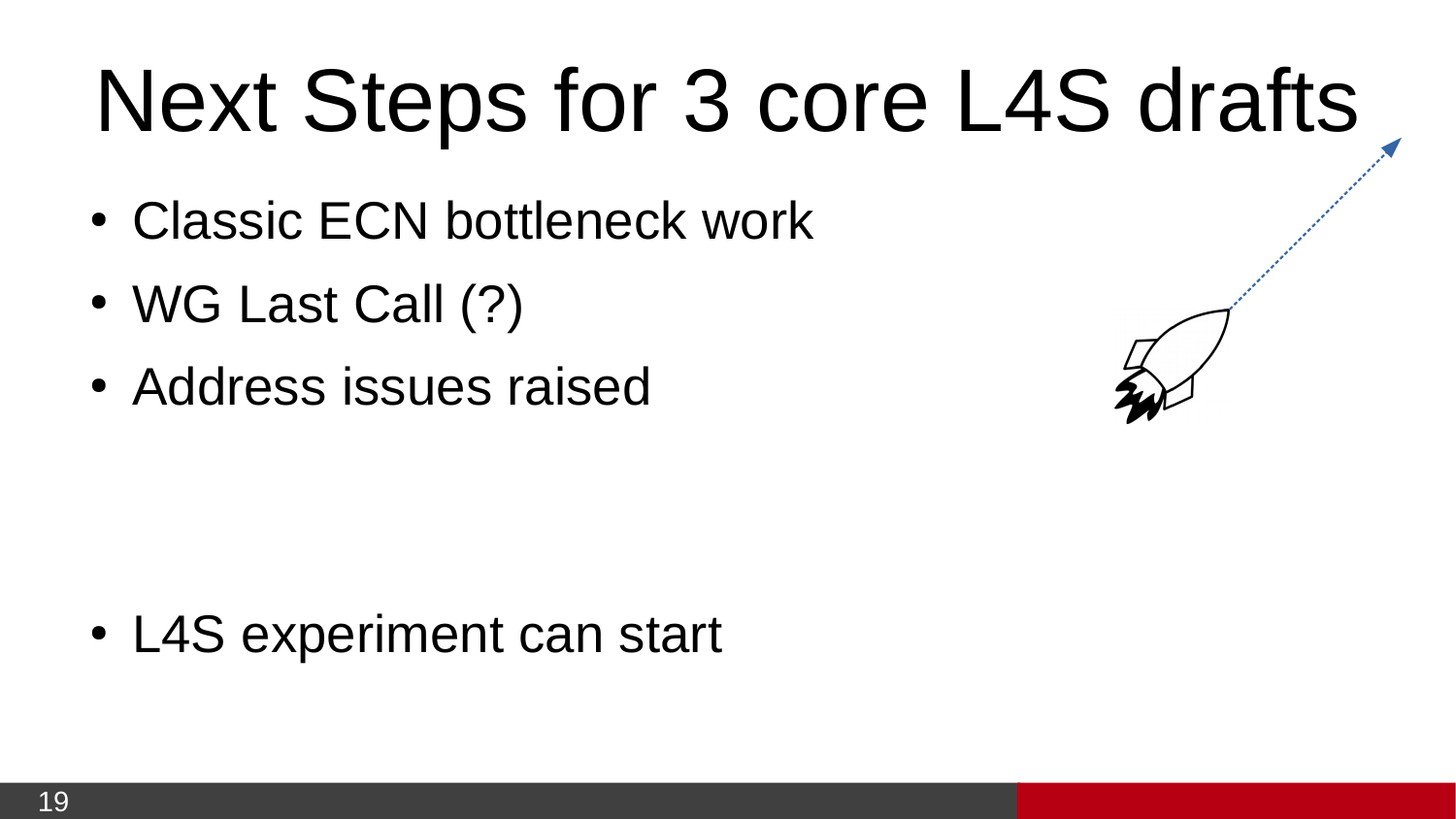# Next Steps for 3 core L4S drafts

- Classic ECN bottleneck work
- $\bullet$  WG Last Call  $(?)$
- Address issues raised

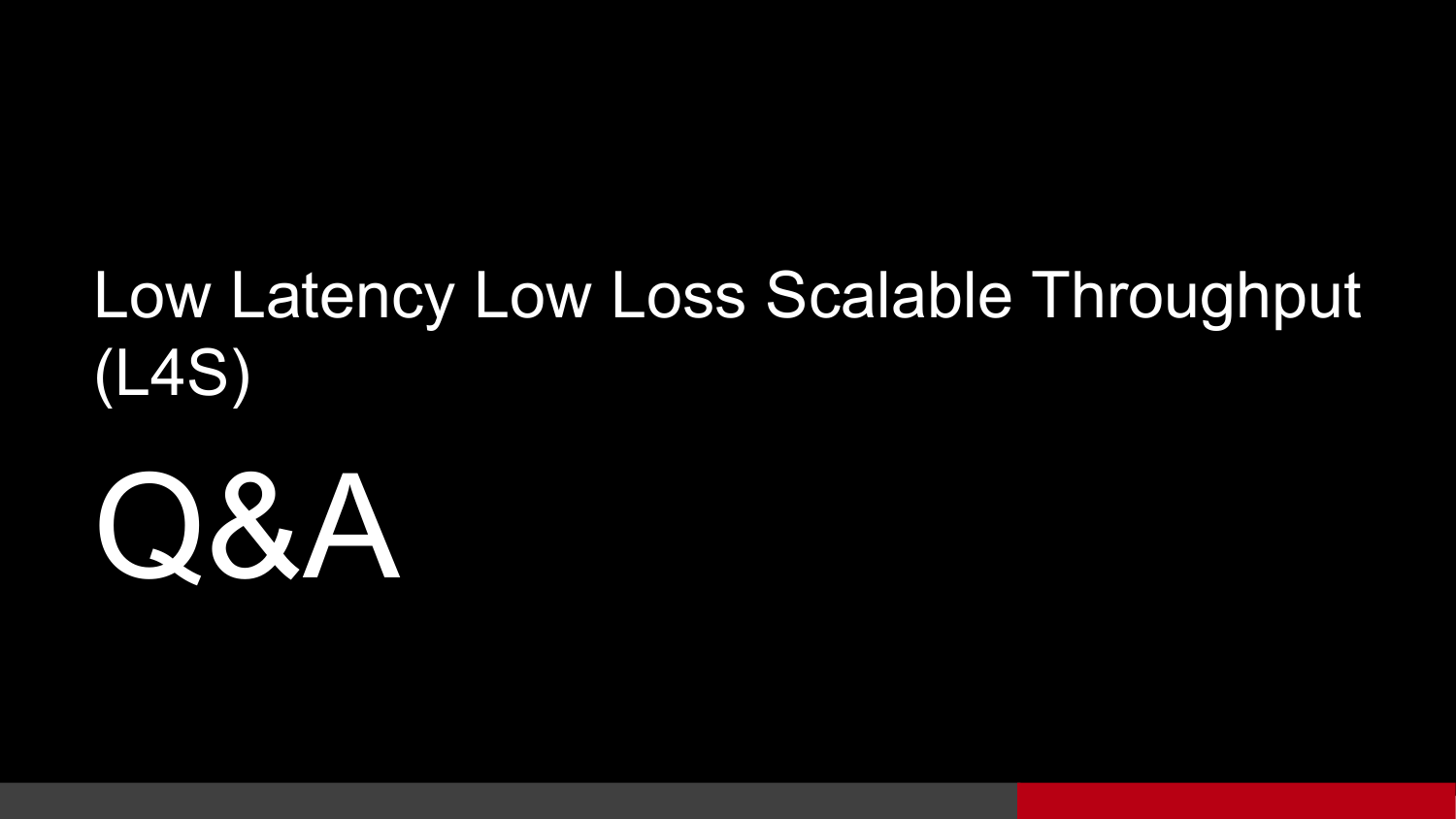### Low Latency Low Loss Scalable Throughput (L4S)